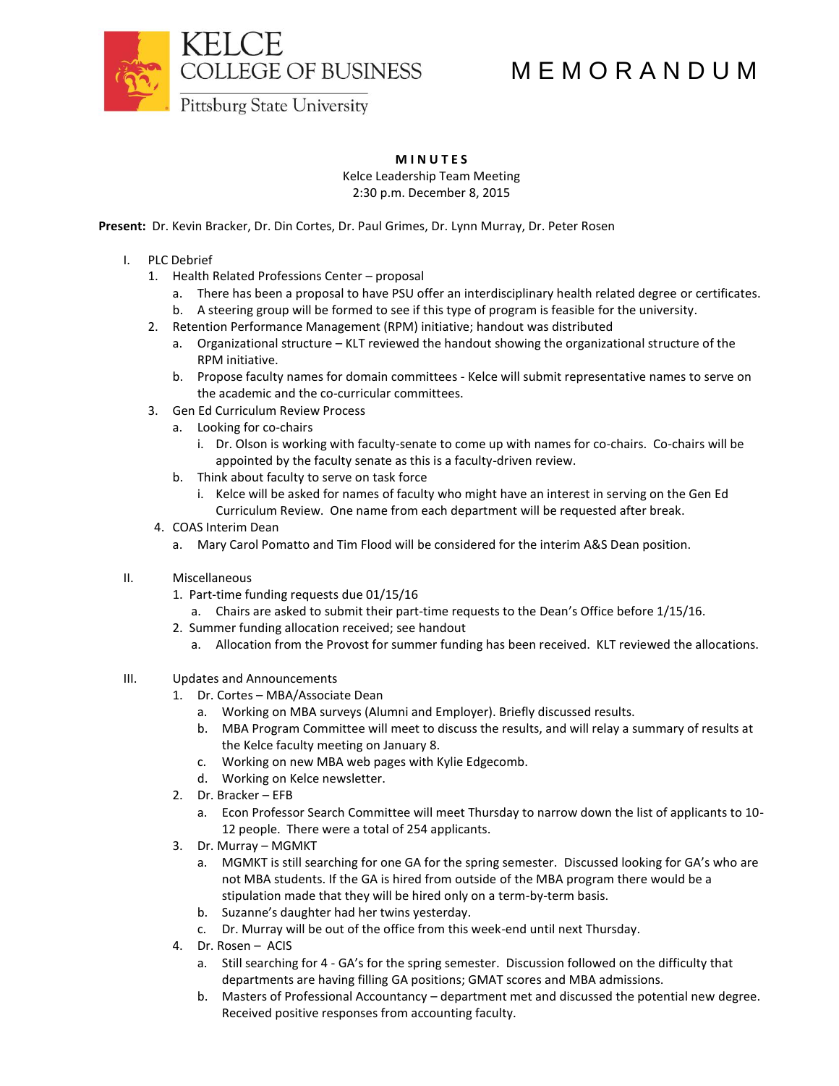

## M E M O R A N D U M

**Pittsburg State University** 

## **M I N U T E S**

Kelce Leadership Team Meeting 2:30 p.m. December 8, 2015

**Present:** Dr. Kevin Bracker, Dr. Din Cortes, Dr. Paul Grimes, Dr. Lynn Murray, Dr. Peter Rosen

- I. PLC Debrief
	- 1. Health Related Professions Center proposal
		- a. There has been a proposal to have PSU offer an interdisciplinary health related degree or certificates.
		- b. A steering group will be formed to see if this type of program is feasible for the university.
	- 2. Retention Performance Management (RPM) initiative; handout was distributed
		- a. Organizational structure KLT reviewed the handout showing the organizational structure of the RPM initiative.
		- b. Propose faculty names for domain committees Kelce will submit representative names to serve on the academic and the co-curricular committees.
	- 3. Gen Ed Curriculum Review Process
		- a. Looking for co-chairs
			- i. Dr. Olson is working with faculty-senate to come up with names for co-chairs. Co-chairs will be appointed by the faculty senate as this is a faculty-driven review.
		- b. Think about faculty to serve on task force
			- i. Kelce will be asked for names of faculty who might have an interest in serving on the Gen Ed Curriculum Review. One name from each department will be requested after break.
	- 4. COAS Interim Dean
		- a. Mary Carol Pomatto and Tim Flood will be considered for the interim A&S Dean position.
- II. Miscellaneous
	- 1. Part-time funding requests due 01/15/16
		- a. Chairs are asked to submit their part-time requests to the Dean's Office before 1/15/16.
	- 2. Summer funding allocation received; see handout
		- a. Allocation from the Provost for summer funding has been received. KLT reviewed the allocations.
- III. Updates and Announcements
	- 1. Dr. Cortes MBA/Associate Dean
		- a. Working on MBA surveys (Alumni and Employer). Briefly discussed results.
		- b. MBA Program Committee will meet to discuss the results, and will relay a summary of results at the Kelce faculty meeting on January 8.
		- c. Working on new MBA web pages with Kylie Edgecomb.
		- d. Working on Kelce newsletter.
	- 2. Dr. Bracker EFB
		- a. Econ Professor Search Committee will meet Thursday to narrow down the list of applicants to 10- 12 people. There were a total of 254 applicants.
	- 3. Dr. Murray MGMKT
		- a. MGMKT is still searching for one GA for the spring semester. Discussed looking for GA's who are not MBA students. If the GA is hired from outside of the MBA program there would be a stipulation made that they will be hired only on a term-by-term basis.
		- b. Suzanne's daughter had her twins yesterday.
		- c. Dr. Murray will be out of the office from this week-end until next Thursday.
	- 4. Dr. Rosen ACIS
		- a. Still searching for 4 GA's for the spring semester. Discussion followed on the difficulty that departments are having filling GA positions; GMAT scores and MBA admissions.
		- b. Masters of Professional Accountancy department met and discussed the potential new degree. Received positive responses from accounting faculty.